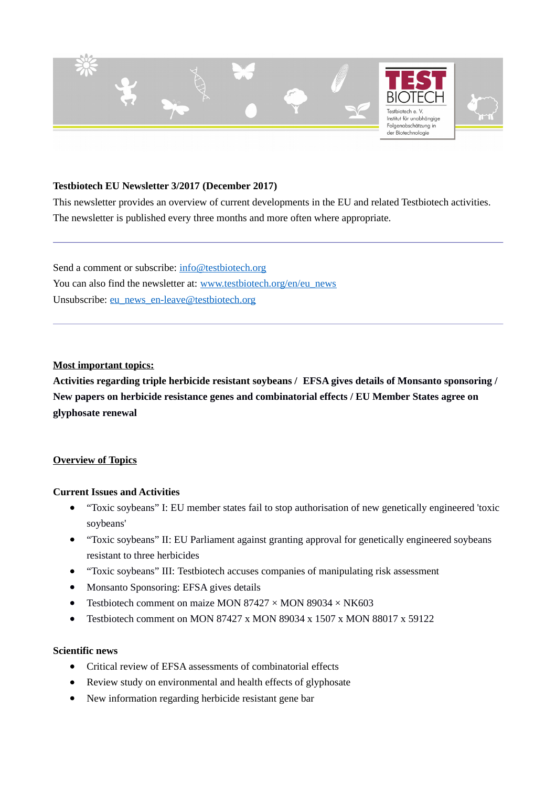

#### **Testbiotech EU Newsletter 3/2017 (December 2017)**

This newsletter provides an overview of current developments in the EU and related Testbiotech activities. The newsletter is published every three months and more often where appropriate.

Send a comment or subscribe: [info@testbiotech.org](mailto:info@testbiotech.org) You can also find the newsletter at: [www.testbiotech.org/en/eu\\_news](http://www.testbiotech.org/en/eu_news) Unsubscribe: [eu\\_news\\_en-leave@testbiotech.org](mailto:eu_news_en-leave@testbiotech.org)

#### **Most important topics:**

**Activities regarding triple herbicide resistant soybeans / EFSA gives details of Monsanto sponsoring / New papers on herbicide resistance genes and combinatorial effects / EU Member States agree on glyphosate renewal** 

## **Overview of Topics**

#### **Current Issues and Activities**

- "Toxic soybeans" I: EU member states fail to stop authorisation of new genetically engineered 'toxic soybeans'
- "Toxic soybeans" II: EU Parliament against granting approval for genetically engineered soybeans resistant to three herbicides
- "Toxic soybeans" III: Testbiotech accuses companies of manipulating risk assessment
- Monsanto Sponsoring: EFSA gives details
- Testbiotech comment on maize MON 87427  $\times$  MON 89034  $\times$  NK603
- **•** Testbiotech comment on MON 87427 x MON 89034 x 1507 x MON 88017 x 59122

#### **Scientific news**

- Critical review of EFSA assessments of combinatorial effects
- Review study on environmental and health effects of glyphosate
- New information regarding herbicide resistant gene bar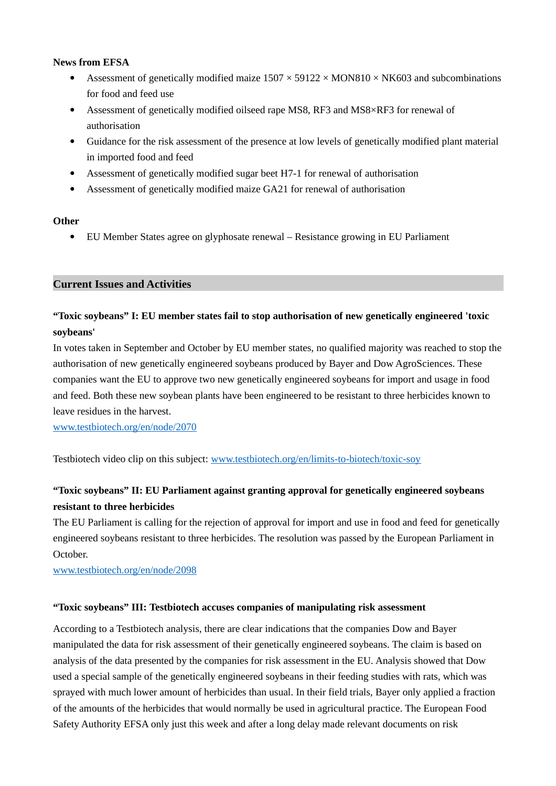#### **News from EFSA**

- Assessment of genetically modified maize  $1507 \times 59122 \times MON810 \times NK603$  and subcombinations for food and feed use
- Assessment of genetically modified oilseed rape MS8, RF3 and MS8×RF3 for renewal of authorisation
- Guidance for the risk assessment of the presence at low levels of genetically modified plant material in imported food and feed
- Assessment of genetically modified sugar beet H7-1 for renewal of authorisation
- Assessment of genetically modified maize GA21 for renewal of authorisation

#### **Other**

EU Member States agree on glyphosate renewal – Resistance growing in EU Parliament

#### **Current Issues and Activities**

## **"Toxic soybeans" I: EU member states fail to stop authorisation of new genetically engineered 'toxic soybeans'**

In votes taken in September and October by EU member states, no qualified majority was reached to stop the authorisation of new genetically engineered soybeans produced by Bayer and Dow AgroSciences. These companies want the EU to approve two new genetically engineered soybeans for import and usage in food and feed. Both these new soybean plants have been engineered to be resistant to three herbicides known to leave residues in the harvest.

[www.testbiotech.org/en/node/2070](https://www.testbiotech.org/en/node/2070)

Testbiotech video clip on this subject: [www.testbiotech.org/en/limits-to-biotech/toxic-soy](https://www.testbiotech.org/en/limits-to-biotech/toxic-soy)

# **"Toxic soybeans" II: EU Parliament against granting approval for genetically engineered soybeans resistant to three herbicides**

The EU Parliament is calling for the rejection of approval for import and use in food and feed for genetically engineered soybeans resistant to three herbicides. The resolution was passed by the European Parliament in October.

[www.testbiotech.org/en/node/2098](https://www.testbiotech.org/en/node/2098)

## **"Toxic soybeans" III: Testbiotech accuses companies of manipulating risk assessment**

According to a Testbiotech analysis, there are clear indications that the companies Dow and Bayer manipulated the data for risk assessment of their genetically engineered soybeans. The claim is based on analysis of the data presented by the companies for risk assessment in the EU. Analysis showed that Dow used a special sample of the genetically engineered soybeans in their feeding studies with rats, which was sprayed with much lower amount of herbicides than usual. In their field trials, Bayer only applied a fraction of the amounts of the herbicides that would normally be used in agricultural practice. The European Food Safety Authority EFSA only just this week and after a long delay made relevant documents on risk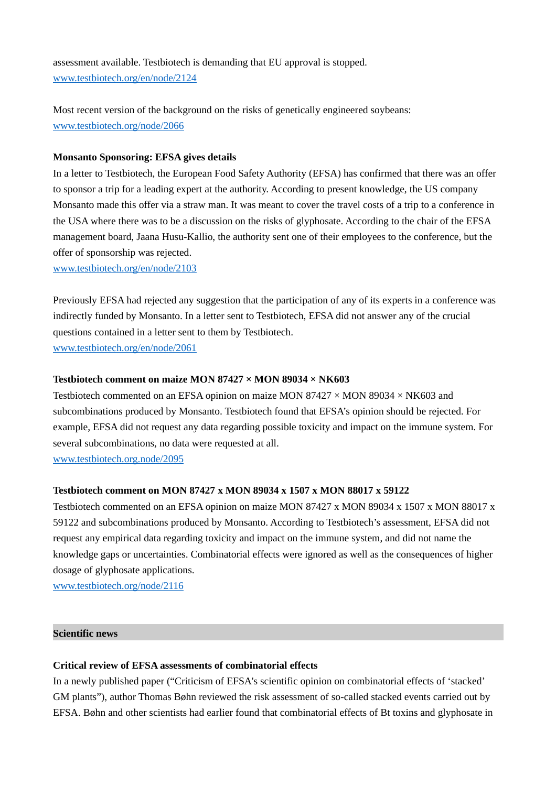assessment available. Testbiotech is demanding that EU approval is stopped. [www.testbiotech.org/en/node/2124](https://www.testbiotech.org/en/node/2124)

Most recent version of the background on the risks of genetically engineered soybeans: [www.testbiotech.org/node/2066](http://www.testbiotech.org/node/2066)

#### **Monsanto Sponsoring: EFSA gives details**

In a letter to Testbiotech, the European Food Safety Authority (EFSA) has confirmed that there was an offer to sponsor a trip for a leading expert at the authority. According to present knowledge, the US company Monsanto made this offer via a straw man. It was meant to cover the travel costs of a trip to a conference in the USA where there was to be a discussion on the risks of glyphosate. According to the chair of the EFSA management board, Jaana Husu-Kallio, the authority sent one of their employees to the conference, but the offer of sponsorship was rejected.

[www.testbiotech.org/en/node/2103](https://www.testbiotech.org/en/node/2103)

Previously EFSA had rejected any suggestion that the participation of any of its experts in a conference was indirectly funded by Monsanto. In a letter sent to Testbiotech, EFSA did not answer any of the crucial questions contained in a letter sent to them by Testbiotech. [www.testbiotech.org/en/node/2061](https://www.testbiotech.org/en/node/2061)

#### **Testbiotech comment on maize MON 87427 × MON 89034 × NK603**

Testbiotech commented on an EFSA opinion on maize MON 87427 × MON 89034 × NK603 and subcombinations produced by Monsanto. Testbiotech found that EFSA's opinion should be rejected. For example, EFSA did not request any data regarding possible toxicity and impact on the immune system. For several subcombinations, no data were requested at all.

[www.testbiotech.org.node/2095](https://www.testbiotech.org.node/2095)

#### **Testbiotech comment on MON 87427 x MON 89034 x 1507 x MON 88017 x 59122**

Testbiotech commented on an EFSA opinion on maize MON 87427 x MON 89034 x 1507 x MON 88017 x 59122 and subcombinations produced by Monsanto. According to Testbiotech's assessment, EFSA did not request any empirical data regarding toxicity and impact on the immune system, and did not name the knowledge gaps or uncertainties. Combinatorial effects were ignored as well as the consequences of higher dosage of glyphosate applications.

[www.testbiotech.org/node/2116](https://www.testbiotech.org/node/2116)

#### **Scientific news**

#### **Critical review of EFSA assessments of combinatorial effects**

In a newly published paper ("Criticism of EFSA's scientific opinion on combinatorial effects of 'stacked' GM plants"), author Thomas Bøhn reviewed the risk assessment of so-called stacked events carried out by EFSA. Bøhn and other scientists had earlier found that combinatorial effects of Bt toxins and glyphosate in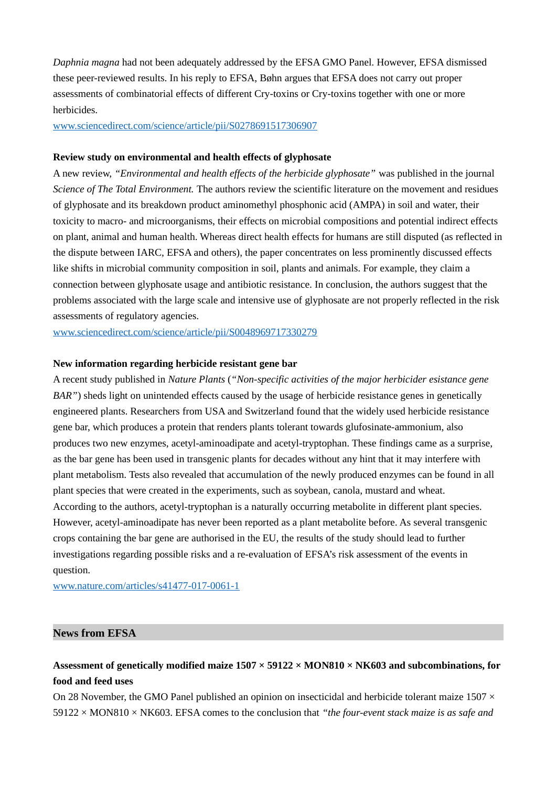*Daphnia magna* had not been adequately addressed by the EFSA GMO Panel. However, EFSA dismissed these peer-reviewed results. In his reply to EFSA, Bøhn argues that EFSA does not carry out proper assessments of combinatorial effects of different Cry-toxins or Cry-toxins together with one or more herbicides.

[www.sciencedirect.com/science/article/pii/S0278691517306907](https://www.sciencedirect.com/science/article/pii/S0278691517306907)

#### **Review study on environmental and health effects of glyphosate**

A new review, *"Environmental and health effects of the herbicide glyphosate"* was published in the journal *Science of The Total Environment.* The authors review the scientific literature on the movement and residues of glyphosate and its breakdown product aminomethyl phosphonic acid (AMPA) in soil and water, their toxicity to macro- and microorganisms, their effects on microbial compositions and potential indirect effects on plant, animal and human health. Whereas direct health effects for humans are still disputed (as reflected in the dispute between IARC, EFSA and others), the paper concentrates on less prominently discussed effects like shifts in microbial community composition in soil, plants and animals. For example, they claim a connection between glyphosate usage and antibiotic resistance. In conclusion, the authors suggest that the problems associated with the large scale and intensive use of glyphosate are not properly reflected in the risk assessments of regulatory agencies.

[www.sciencedirect.com/science/article/pii/S0048969717330279](https://www.sciencedirect.com/science/article/pii/S0048969717330279)

#### **New information regarding herbicide resistant gene bar**

A recent study published in *Nature Plants* (*"Non-specific activities of the major herbicider esistance gene BAR"*) sheds light on unintended effects caused by the usage of herbicide resistance genes in genetically engineered plants. Researchers from USA and Switzerland found that the widely used herbicide resistance gene bar, which produces a protein that renders plants tolerant towards glufosinate-ammonium, also produces two new enzymes, acetyl-aminoadipate and acetyl-tryptophan. These findings came as a surprise, as the bar gene has been used in transgenic plants for decades without any hint that it may interfere with plant metabolism. Tests also revealed that accumulation of the newly produced enzymes can be found in all plant species that were created in the experiments, such as soybean, canola, mustard and wheat. According to the authors, acetyl-tryptophan is a naturally occurring metabolite in different plant species. However, acetyl-aminoadipate has never been reported as a plant metabolite before. As several transgenic crops containing the bar gene are authorised in the EU, the results of the study should lead to further investigations regarding possible risks and a re-evaluation of EFSA's risk assessment of the events in question.

[www.nature.com/articles/s41477-017-0061-1](https://www.nature.com/articles/s41477-017-0061-1)

#### **News from EFSA**

## **Assessment of genetically modified maize 1507 × 59122 × MON810 × NK603 and subcombinations, for food and feed uses**

On 28 November, the GMO Panel published an opinion on insecticidal and herbicide tolerant maize 1507  $\times$ 59122 × MON810 × NK603. EFSA comes to the conclusion that *"the four-event stack maize is as safe and*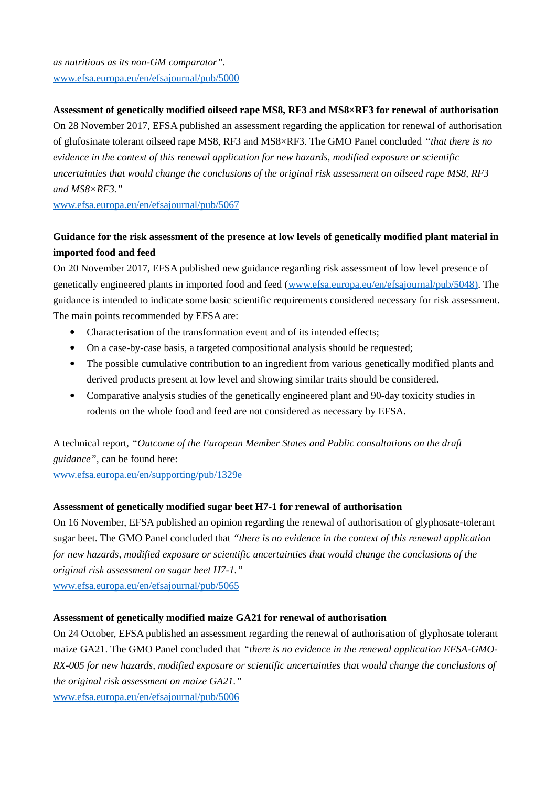*as nutritious as its non-GM comparator".* [www.efsa.europa.eu/en/efsajournal/pub/5000](http://www.efsa.europa.eu/en/efsajournal/pub/5000)

## **Assessment of genetically modified oilseed rape MS8, RF3 and MS8×RF3 for renewal of authorisation**

On 28 November 2017, EFSA published an assessment regarding the application for renewal of authorisation of glufosinate tolerant oilseed rape MS8, RF3 and MS8×RF3. The GMO Panel concluded *"that there is no evidence in the context of this renewal application for new hazards, modified exposure or scientific uncertainties that would change the conclusions of the original risk assessment on oilseed rape MS8, RF3 and MS8×RF3."*

[www.efsa.europa.eu/en/efsajournal/pub/5067](http://www.efsa.europa.eu/en/efsajournal/pub/5067)

# **Guidance for the risk assessment of the presence at low levels of genetically modified plant material in imported food and feed**

On 20 November 2017, EFSA published new guidance regarding risk assessment of low level presence of genetically engineered plants in imported food and feed (www.efsa.europa.eu/en/efsajournal/pub/5048). The guidance is intended to indicate some basic scientific requirements considered necessary for risk assessment. The main points recommended by EFSA are:

- Characterisation of the transformation event and of its intended effects;
- On a case-by-case basis, a targeted compositional analysis should be requested;
- The possible cumulative contribution to an ingredient from various genetically modified plants and derived products present at low level and showing similar traits should be considered.
- Comparative analysis studies of the genetically engineered plant and 90-day toxicity studies in rodents on the whole food and feed are not considered as necessary by EFSA.

A technical report, *"Outcome of the European Member States and Public consultations on the draft guidance",* can be found here:

[www.efsa.europa.eu/en/supporting/pub/1329e](http://www.efsa.europa.eu/en/supporting/pub/1329e)

## **Assessment of genetically modified sugar beet H7-1 for renewal of authorisation**

On 16 November, EFSA published an opinion regarding the renewal of authorisation of glyphosate-tolerant sugar beet. The GMO Panel concluded that *"there is no evidence in the context of this renewal application for new hazards, modified exposure or scientific uncertainties that would change the conclusions of the original risk assessment on sugar beet H7-1."*

[www.efsa.europa.eu/en/efsajournal/pub/5065](http://www.efsa.europa.eu/en/efsajournal/pub/5065)

## **Assessment of genetically modified maize GA21 for renewal of authorisation**

On 24 October, EFSA published an assessment regarding the renewal of authorisation of glyphosate tolerant maize GA21. The GMO Panel concluded that *"there is no evidence in the renewal application EFSA-GMO-RX-005 for new hazards, modified exposure or scientific uncertainties that would change the conclusions of the original risk assessment on maize GA21."*

[www.efsa.europa.eu/en/efsajournal/pub/5006](http://www.efsa.europa.eu/en/efsajournal/pub/5006)